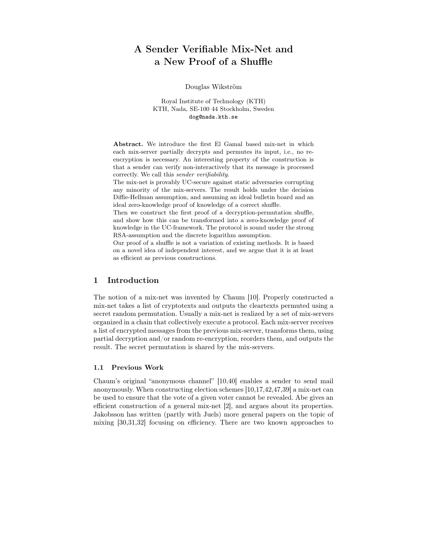## A Sender Verifiable Mix-Net and a New Proof of a Shuffle

#### Douglas Wikström

Royal Institute of Technology (KTH) KTH, Nada, SE-100 44 Stockholm, Sweden dog@nada.kth.se

Abstract. We introduce the first El Gamal based mix-net in which each mix-server partially decrypts and permutes its input, i.e., no reencryption is necessary. An interesting property of the construction is that a sender can verify non-interactively that its message is processed correctly. We call this *sender verifiability*.

The mix-net is provably UC-secure against static adversaries corrupting any minority of the mix-servers. The result holds under the decision Diffie-Hellman assumption, and assuming an ideal bulletin board and an ideal zero-knowledge proof of knowledge of a correct shuffle.

Then we construct the first proof of a decryption-permutation shuffle, and show how this can be transformed into a zero-knowledge proof of knowledge in the UC-framework. The protocol is sound under the strong RSA-assumption and the discrete logarithm assumption.

Our proof of a shuffle is not a variation of existing methods. It is based on a novel idea of independent interest, and we argue that it is at least as efficient as previous constructions.

## 1 Introduction

The notion of a mix-net was invented by Chaum [10]. Properly constructed a mix-net takes a list of cryptotexts and outputs the cleartexts permuted using a secret random permutation. Usually a mix-net is realized by a set of mix-servers organized in a chain that collectively execute a protocol. Each mix-server receives a list of encrypted messages from the previous mix-server, transforms them, using partial decryption and/or random re-encryption, reorders them, and outputs the result. The secret permutation is shared by the mix-servers.

#### 1.1 Previous Work

Chaum's original "anonymous channel" [10,40] enables a sender to send mail anonymously. When constructing election schemes [10,17,42,47,39] a mix-net can be used to ensure that the vote of a given voter cannot be revealed. Abe gives an efficient construction of a general mix-net [2], and argues about its properties. Jakobsson has written (partly with Juels) more general papers on the topic of mixing [30,31,32] focusing on efficiency. There are two known approaches to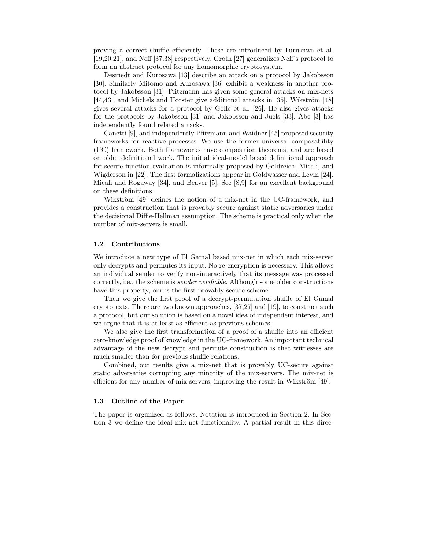proving a correct shuffle efficiently. These are introduced by Furukawa et al. [19,20,21], and Neff [37,38] respectively. Groth [27] generalizes Neff's protocol to form an abstract protocol for any homomorphic cryptosystem.

Desmedt and Kurosawa [13] describe an attack on a protocol by Jakobsson [30]. Similarly Mitomo and Kurosawa [36] exhibit a weakness in another protocol by Jakobsson [31]. Pfitzmann has given some general attacks on mix-nets [44,43], and Michels and Horster give additional attacks in [35]. Wikström [48] gives several attacks for a protocol by Golle et al. [26]. He also gives attacks for the protocols by Jakobsson [31] and Jakobsson and Juels [33]. Abe [3] has independently found related attacks.

Canetti [9], and independently Pfitzmann and Waidner [45] proposed security frameworks for reactive processes. We use the former universal composability (UC) framework. Both frameworks have composition theorems, and are based on older definitional work. The initial ideal-model based definitional approach for secure function evaluation is informally proposed by Goldreich, Micali, and Wigderson in [22]. The first formalizations appear in Goldwasser and Levin [24], Micali and Rogaway [34], and Beaver [5]. See [8,9] for an excellent background on these definitions.

Wikström [49] defines the notion of a mix-net in the UC-framework, and provides a construction that is provably secure against static adversaries under the decisional Diffie-Hellman assumption. The scheme is practical only when the number of mix-servers is small.

#### 1.2 Contributions

We introduce a new type of El Gamal based mix-net in which each mix-server only decrypts and permutes its input. No re-encryption is necessary. This allows an individual sender to verify non-interactively that its message was processed correctly, i.e., the scheme is *sender verifiable*. Although some older constructions have this property, our is the first provably secure scheme.

Then we give the first proof of a decrypt-permutation shuffle of El Gamal cryptotexts. There are two known approaches, [37,27] and [19], to construct such a protocol, but our solution is based on a novel idea of independent interest, and we argue that it is at least as efficient as previous schemes.

We also give the first transformation of a proof of a shuffle into an efficient zero-knowledge proof of knowledge in the UC-framework. An important technical advantage of the new decrypt and permute construction is that witnesses are much smaller than for previous shuffle relations.

Combined, our results give a mix-net that is provably UC-secure against static adversaries corrupting any minority of the mix-servers. The mix-net is efficient for any number of mix-servers, improving the result in Wikström [49].

#### 1.3 Outline of the Paper

The paper is organized as follows. Notation is introduced in Section 2. In Section 3 we define the ideal mix-net functionality. A partial result in this direc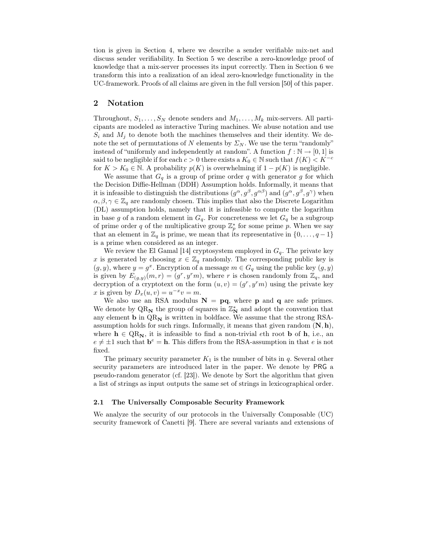tion is given in Section 4, where we describe a sender verifiable mix-net and discuss sender verifiability. In Section 5 we describe a zero-knowledge proof of knowledge that a mix-server processes its input correctly. Then in Section 6 we transform this into a realization of an ideal zero-knowledge functionality in the UC-framework. Proofs of all claims are given in the full version [50] of this paper.

## 2 Notation

Throughout,  $S_1, \ldots, S_N$  denote senders and  $M_1, \ldots, M_k$  mix-servers. All participants are modeled as interactive Turing machines. We abuse notation and use  $S_i$  and  $M_j$  to denote both the machines themselves and their identity. We denote the set of permutations of N elements by  $\Sigma_N$ . We use the term "randomly" instead of "uniformly and independently at random". A function  $f : \mathbb{N} \to [0, 1]$  is said to be negligible if for each  $c > 0$  there exists a  $K_0 \in \mathbb{N}$  such that  $f(K) < K^{-c}$ for  $K > K_0 \in \mathbb{N}$ . A probability  $p(K)$  is overwhelming if  $1 - p(K)$  is negligible.

We assume that  $G_q$  is a group of prime order q with generator g for which the Decision Diffie-Hellman (DDH) Assumption holds. Informally, it means that it is infeasible to distinguish the distributions  $(g^{\alpha}, g^{\beta}, g^{\alpha\beta})$  and  $(g^{\alpha}, g^{\beta}, g^{\gamma})$  when  $\alpha, \beta, \gamma \in \mathbb{Z}_q$  are randomly chosen. This implies that also the Discrete Logarithm (DL) assumption holds, namely that it is infeasible to compute the logarithm in base g of a random element in  $G_q$ . For concreteness we let  $G_q$  be a subgroup of prime order q of the multiplicative group  $\mathbb{Z}_p^*$  for some prime p. When we say that an element in  $\mathbb{Z}_q$  is prime, we mean that its representative in  $\{0,\ldots,q-1\}$ is a prime when considered as an integer.

We review the El Gamal [14] cryptosystem employed in  $G_q$ . The private key x is generated by choosing  $x \in \mathbb{Z}_q$  randomly. The corresponding public key is  $(g, y)$ , where  $y = g^x$ . Encryption of a message  $m \in G_q$  using the public key  $(g, y)$ is given by  $E_{(g,y)}(m,r)=(g^r, y^r m)$ , where r is chosen randomly from  $\mathbb{Z}_q$ , and decryption of a cryptotext on the form  $(u, v)=(g<sup>r</sup>, y<sup>r</sup>m)$  using the private key x is given by  $D_x(u, v) = u^{-x}v = m$ .

We also use an RSA modulus  $N = pq$ , where **p** and **q** are safe primes. We denote by  $\mathrm{QR}_{\mathbf{N}}$  the group of squares in  $\mathbb{Z}_{\mathbf{N}}^{*}$  and adopt the convention that any element **b** in  $QR_N$  is written in boldface. We assume that the strong RSAassumption holds for such rings. Informally, it means that given random (**N**, **h**), where  $h \in QR_N$ , it is infeasible to find a non-trivial eth root **b** of **h**, i.e., an  $e \neq \pm 1$  such that  $\mathbf{b}^e = \mathbf{h}$ . This differs from the RSA-assumption in that e is not fixed.

The primary security parameter  $K_1$  is the number of bits in q. Several other security parameters are introduced later in the paper. We denote by PRG a pseudo-random generator (cf. [23]). We denote by Sort the algorithm that given a list of strings as input outputs the same set of strings in lexicographical order.

#### 2.1 The Universally Composable Security Framework

We analyze the security of our protocols in the Universally Composable (UC) security framework of Canetti [9]. There are several variants and extensions of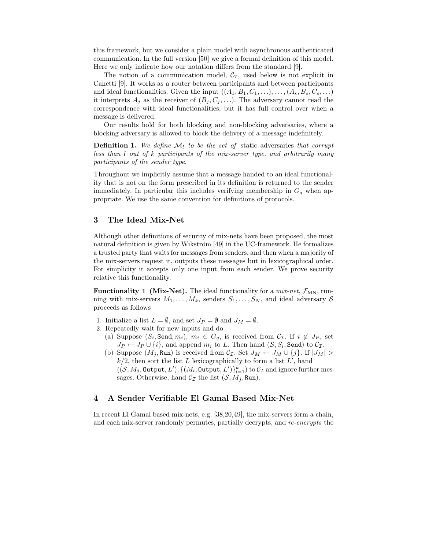this framework, but we consider a plain model with asynchronous authenticated communication. In the full version [50] we give a formal definition of this model. Here we only indicate how our notation differs from the standard [9].

The notion of a communication model,  $C_{\mathcal{I}}$ , used below is not explicit in Canetti [9]. It works as a router between participants and between participants and ideal functionalities. Given the input  $((A_1, B_1, C_1, \ldots), \ldots, (A_s, B_s, C_s, \ldots))$ it interprets  $A_j$  as the receiver of  $(B_j, C_j, \ldots)$ . The adversary cannot read the correspondence with ideal functionalities, but it has full control over when a message is delivered.

Our results hold for both blocking and non-blocking adversaries, where a blocking adversary is allowed to block the delivery of a message indefinitely.

**Definition 1.** We define  $M_l$  to be the set of static adversaries that corrupt *less than* l *out of* k *participants of the mix-server type, and arbitrarily many participants of the sender type.*

Throughout we implicitly assume that a message handed to an ideal functionality that is not on the form prescribed in its definition is returned to the sender immediately. In particular this includes verifying membership in  $G_q$  when appropriate. We use the same convention for definitions of protocols.

## 3 The Ideal Mix-Net

Although other definitions of security of mix-nets have been proposed, the most natural definition is given by Wikström [49] in the UC-framework. He formalizes a trusted party that waits for messages from senders, and then when a majority of the mix-servers request it, outputs these messages but in lexicographical order. For simplicity it accepts only one input from each sender. We prove security relative this functionality.

**Functionality 1 (Mix-Net).** The ideal functionality for a  $mix-net$ ,  $\mathcal{F}_{MN}$ , running with mix-servers  $M_1, \ldots, M_k$ , senders  $S_1, \ldots, S_N$ , and ideal adversary S proceeds as follows

- 1. Initialize a list  $L = \emptyset$ , and set  $J_P = \emptyset$  and  $J_M = \emptyset$ .
- 2. Repeatedly wait for new inputs and do
	- (a) Suppose  $(S_i, \texttt{Send}, m_i), m_i \in G_q$ , is received from  $C_{\mathcal{I}}$ . If  $i \notin J_P$ , set  $J_P \leftarrow J_P \cup \{i\}$ , and append  $m_i$  to L. Then hand  $(S, S_i, \text{Send})$  to  $\mathcal{C_I}$ .
	- (b) Suppose  $(M_j, \text{Run})$  is received from  $\mathcal{C}_{\mathcal{I}}$ . Set  $J_M \leftarrow J_M \cup \{j\}$ . If  $|J_M| >$  $k/2$ , then sort the list L lexicographically to form a list L', hand  $((\mathcal{S}, M_j, \text{Output}, L'), \{(M_l, \text{Output}, L')\}_{l=1}^k)$  to  $\mathcal{C}_{\mathcal{I}}$  and ignore further mes-<br>same Otherwise, hand  $\mathcal{C}_{\mathcal{I}}$  the list  $(S, M, \text{ Run})$ sages. Otherwise, hand  $C_{\mathcal{I}}$  the list  $(\mathcal{S}, M_i, \text{Run})$ .

## 4 A Sender Verifiable El Gamal Based Mix-Net

In recent El Gamal based mix-nets, e.g. [38,20,49], the mix-servers form a chain, and each mix-server randomly permutes, partially decrypts, and *re-encrypts* the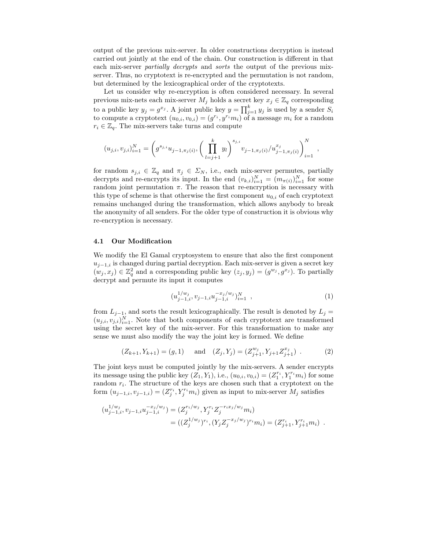output of the previous mix-server. In older constructions decryption is instead carried out jointly at the end of the chain. Our construction is different in that each mix-server *partially decrypts* and *sorts* the output of the previous mixserver. Thus, no cryptotext is re-encrypted and the permutation is not random, but determined by the lexicographical order of the cryptotexts.

Let us consider why re-encryption is often considered necessary. In several previous mix-nets each mix-server  $M_j$  holds a secret key  $x_j \in \mathbb{Z}_q$  corresponding to a public key  $y_j = g^{x_j}$ . A joint public key  $y = \prod_{j=1}^k y_j$  is used by a sender  $S_i$ <br>to compute a cryptotext  $(y_0, y_0) = (g^{r_i} y_i^{r_i} m_i)$  of a message m, for a random to compute a cryptotext  $(u_{0,i}, v_{0,i})=(g^{r_i}, y^{r_i}m_i)$  of a message  $m_i$  for a random  $r_i \in \mathbb{Z}_q$ . The mix-servers take turns and compute

$$
(u_{j,i}, v_{j,i})_{i=1}^N = \left(g^{s_{j,i}}u_{j-1,\pi_j(i)}, \left(\prod_{l=j+1}^k y_l\right)^{s_{j,i}} v_{j-1,\pi_j(i)}/u_{j-1,\pi_j(i)}^{x_j}\right)_{i=1}^N,
$$

for random  $s_{j,i} \in \mathbb{Z}_q$  and  $\pi_j \in \Sigma_N$ , i.e., each mix-server permutes, partially decrypts and re-encrypts its input. In the end  $(v_{k,i})_{i=1}^N = (m_{\pi(i)})_{i=1}^N$  for some<br>random joint permutation  $\pi$ . The reason that re-encryption is necessary with random joint permutation  $\pi$ . The reason that re-encryption is necessary with this type of scheme is that otherwise the first component  $u_{0,i}$  of each cryptotext remains unchanged during the transformation, which allows anybody to break the anonymity of all senders. For the older type of construction it is obvious why re-encryption is necessary.

#### 4.1 Our Modification

We modify the El Gamal cryptosystem to ensure that also the first component  $u_{j-1,i}$  is changed during partial decryption. Each mix-server is given a secret key  $(w_j, x_j) \in \mathbb{Z}_q^2$  and a corresponding public key  $(z_j, y_j) = (g^{w_j}, g^{x_j})$ . To partially decrypt and permute its input it computes

$$
(u_{j-1,i}^{1/w_j}, v_{j-1,i}u_{j-1,i}^{-x_j/w_j})_{i=1}^N , \qquad (1)
$$

from  $L_{j-1}$ , and sorts the result lexicographically. The result is denoted by  $L_j =$  $(u_{j,i}, v_{j,i})_{i=1}^N$ . Note that both components of each cryptotext are transformed<br>using the secret key of the mix server. For this transformation to make any using the secret key of the mix-server. For this transformation to make any sense we must also modify the way the joint key is formed. We define

$$
(Z_{k+1}, Y_{k+1}) = (g, 1)
$$
 and  $(Z_j, Y_j) = (Z_{j+1}^{w_j}, Y_{j+1}Z_{j+1}^{x_j})$ . (2)

The joint keys must be computed jointly by the mix-servers. A sender encrypts its message using the public key  $(Z_1, Y_1)$ , i.e.,  $(u_{0,i}, v_{0,i})=(Z_1^{r_i}, Y_1^{r_i}m_i)$  for some<br>random  $r_i$ . The structure of the keys are chosen such that a cruptotext on the random  $r_i$ . The structure of the keys are chosen such that a cryptotext on the form  $(u_{j-1,i}, v_{j-1,i}) = (Z_j^{r_i}, Y_j^{r_i} m_i)$  given as input to mix-server  $M_j$  satisfies

$$
(u_{j-1,i}^{1/w_j}, v_{j-1,i}u_{j-1,i}^{-x_j/w_j}) = (Z_j^{r_i/w_j}, Y_j^{r_i}Z_j^{-r_ix_j/w_j}m_i)
$$
  
= 
$$
((Z_j^{1/w_j})^{r_i}, (Y_jZ_j^{-x_j/w_j})^{r_i}m_i) = (Z_{j+1}^{r_i}, Y_{j+1}^{r_i}m_i) .
$$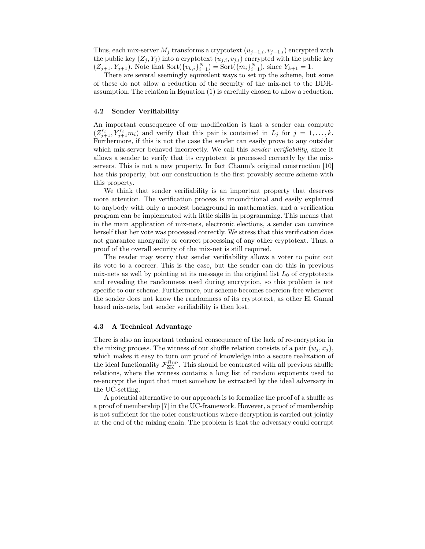Thus, each mix-server  $M_i$  transforms a cryptotext  $(u_{i-1,i}, v_{i-1,i})$  encrypted with the public key  $(Z_j, Y_j)$  into a cryptotext  $(u_{j,i}, v_{j,i})$  encrypted with the public key  $(Z_{j+1}, Y_{j+1})$ . Note that Sort $(\{v_{k,i}\}_{i=1}^N) = \text{Sort}(\{m_i\}_{i=1}^N)$ , since  $Y_{k+1} = 1$ .<br>There are sourced somingly outwalent ways to set up the scheme by

There are several seemingly equivalent ways to set up the scheme, but some of these do not allow a reduction of the security of the mix-net to the DDHassumption. The relation in Equation (1) is carefully chosen to allow a reduction.

#### 4.2 Sender Verifiability

An important consequence of our modification is that a sender can compute  $(Z_{j+1}^{r_i}, Y_{j+1}^{r_i}m_i)$  and verify that this pair is contained in  $L_j$  for  $j = 1, \ldots, k$ .<br>Furthermore, if this is not the case the sender can easily prove to any outsider Furthermore, if this is not the case the sender can easily prove to any outsider which mix-server behaved incorrectly. We call this *sender verifiability*, since it allows a sender to verify that its cryptotext is processed correctly by the mixservers. This is not a new property. In fact Chaum's original construction [10] has this property, but our construction is the first provably secure scheme with this property.

We think that sender verifiability is an important property that deserves more attention. The verification process is unconditional and easily explained to anybody with only a modest background in mathematics, and a verification program can be implemented with little skills in programming. This means that in the main application of mix-nets, electronic elections, a sender can convince herself that her vote was processed correctly. We stress that this verification does not guarantee anonymity or correct processing of any other cryptotext. Thus, a proof of the overall security of the mix-net is still required.

The reader may worry that sender verifiability allows a voter to point out its vote to a coercer. This is the case, but the sender can do this in previous mix-nets as well by pointing at its message in the original list  $L_0$  of cryptotexts and revealing the randomness used during encryption, so this problem is not specific to our scheme. Furthermore, our scheme becomes coercion-free whenever the sender does not know the randomness of its cryptotext, as other El Gamal based mix-nets, but sender verifiability is then lost.

#### 4.3 A Technical Advantage

There is also an important technical consequence of the lack of re-encryption in the mixing process. The witness of our shuffle relation consists of a pair  $(w_i, x_i)$ , which makes it easy to turn our proof of knowledge into a secure realization of the ideal functionality  $\mathcal{F}_{\text{ZK}}^{\text{R}_{\text{DP}}}$ . This should be contrasted with all previous shuffle<br>relations, where the witness contains a long list of random exponents used to relations, where the witness contains a long list of random exponents used to re-encrypt the input that must somehow be extracted by the ideal adversary in the UC-setting.

A potential alternative to our approach is to formalize the proof of a shuffle as a proof of membership [7] in the UC-framework. However, a proof of membership is not sufficient for the older constructions where decryption is carried out jointly at the end of the mixing chain. The problem is that the adversary could corrupt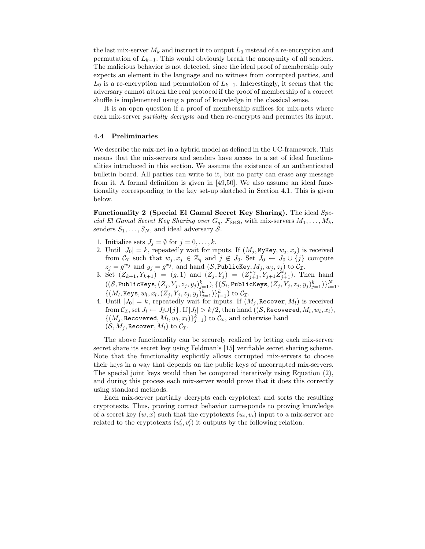the last mix-server  $M_k$  and instruct it to output  $L_0$  instead of a re-encryption and permutation of  $L_{k-1}$ . This would obviously break the anonymity of all senders. The malicious behavior is not detected, since the ideal proof of membership only expects an element in the language and no witness from corrupted parties, and  $L_0$  is a re-encryption and permutation of  $L_{k-1}$ . Interestingly, it seems that the adversary cannot attack the real protocol if the proof of membership of a correct shuffle is implemented using a proof of knowledge in the classical sense.

It is an open question if a proof of membership suffices for mix-nets where each mix-server *partially decrypts* and then re-encrypts and permutes its input.

#### 4.4 Preliminaries

We describe the mix-net in a hybrid model as defined in the UC-framework. This means that the mix-servers and senders have access to a set of ideal functionalities introduced in this section. We assume the existence of an authenticated bulletin board. All parties can write to it, but no party can erase any message from it. A formal definition is given in [49,50]. We also assume an ideal functionality corresponding to the key set-up sketched in Section 4.1. This is given below.

Functionality 2 (Special El Gamal Secret Key Sharing). The ideal *Special El Gamal Secret Key Sharing over*  $G_q$ ,  $\mathcal{F}_{SKS}$ , with mix-servers  $M_1, \ldots, M_k$ , senders  $S_1, \ldots, S_N$ , and ideal adversary S.

- 1. Initialize sets  $J_j = \emptyset$  for  $j = 0, \ldots, k$ .
- 2. Until  $|J_0| = k$ , repeatedly wait for inputs. If  $(M_j, MyKey, w_j, x_j)$  is received from  $C_{\mathcal{I}}$  such that  $w_j, x_j \in \mathbb{Z}_q$  and  $j \notin J_0$ . Set  $J_0 \leftarrow J_0 \cup \{j\}$  compute  $z_j = g^{w_j}$  and  $y_j = g^{x_j}$ , and hand  $(S, \text{PublicKey}, M_j, w_j, z_j)$  to  $\mathcal{C}_{\mathcal{I}}$ .
- 3. Set  $(Z_{k+1}, Y_{k+1}) = (g, 1)$  and  $(Z_j, Y_j) = (Z_{j+1}, Y_{j+1} Z_{j+1}^k)$ . Then hand  $((\mathcal{S}, \text{Publickeys}, (Z_j, Y_j, z_j, y_j)_{j=1}^k), \{(S_i, \text{Publickeys}, (Z_j, Y_j, z_j, y_j)_{j=1}^k)\}_{i=1}^N,$  $\{(M_l, \text{Keys}, w_l, x_l, (Z_j, Y_j, z_j, y_j)_{j=1}^k)\}_{l=1}^k$  to  $\mathcal{C}_{\mathcal{I}}$ .<br>Until  $|L_l| = k$  repeatedly wait for inputs If  $(l)$
- 4. Until  $|J_0| = k$ , repeatedly wait for inputs. If  $(M_j, \text{Recover}, M_l)$  is received<br>from  $\mathcal{C}$  and  $L_{j+1}$ ,  $L_{j+1}$ ,  $L_{j+1}$ ,  $L_{j+1}$ ,  $L_{j+1}$ ,  $L_{j+1}$ ,  $L_{j+1}$ ,  $L_{j+1}$ ,  $L_{j+1}$ ,  $L_{j+1}$ ,  $L_{j+1}$ ,  $L_{j+1}$ ,  $L_{j+$ from  $\mathcal{C}_{\mathcal{I}}$ , set  $J_l \leftarrow J_l \cup \{j\}$ . If  $|J_l| > k/2$ , then hand  $((\mathcal{S},$  Recovered,  $M_l, w_l, x_l)$ ,  $\{(M_j, \text{Recovered}, M_l, w_l, x_l)\}_{j=1}^k$  to  $C_{\mathcal{I}}$ , and otherwise hand  $(S, M, \text{Recovery}, M)$  to  $C_{\mathcal{I}}$  $(\mathcal{S}, M_j,$  Recover,  $M_l)$  to  $\mathcal{C}_{\mathcal{I}}$ .

The above functionality can be securely realized by letting each mix-server secret share its secret key using Feldman's [15] verifiable secret sharing scheme. Note that the functionality explicitly allows corrupted mix-servers to choose their keys in a way that depends on the public keys of uncorrupted mix-servers. The special joint keys would then be computed iteratively using Equation (2), and during this process each mix-server would prove that it does this correctly using standard methods.

Each mix-server partially decrypts each cryptotext and sorts the resulting cryptotexts. Thus, proving correct behavior corresponds to proving knowledge of a secret key  $(w, x)$  such that the cryptotexts  $(u_i, v_i)$  input to a mix-server are related to the cryptotexts  $(u'_i, v'_i)$  it outputs by the following relation.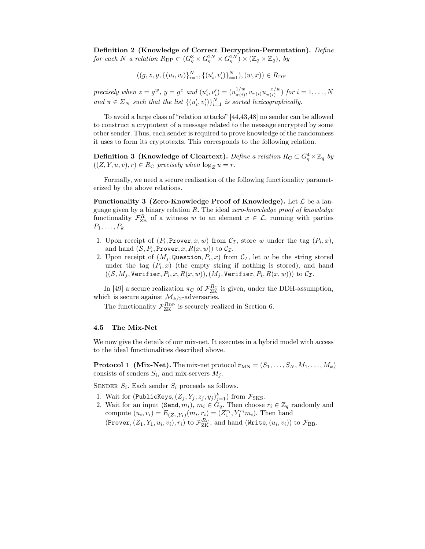Definition 2 (Knowledge of Correct Decryption-Permutation). *Define for each N a relation*  $R_{\text{DP}} \subset (G_q^3 \times G_q^{2N} \times G_q^{2N}) \times (\mathbb{Z}_q \times \mathbb{Z}_q)$ , by

$$
((g, z, y, \{(u_i, v_i)\}_{i=1}^N, \{(u'_i, v'_i)\}_{i=1}^N), (w, x)) \in R_{\text{DP}}
$$

*precisely when*  $z = g^w$ ,  $y = g^x$  and  $(u'_i, v'_i) = (u_{\pi(i)}^{1/w}, v_{\pi(i)} u_{\pi(i)}^{-x/w})$  for  $i = 1, ..., N$ *and*  $\pi \in \Sigma_N$  *such that the list*  $\{(u'_i, v'_i)\}_{i=1}^N$  *is sorted lexicographically.* 

To avoid a large class of "relation attacks" [44,43,48] no sender can be allowed to construct a cryptotext of a message related to the message encrypted by some other sender. Thus, each sender is required to prove knowledge of the randomness it uses to form its cryptotexts. This corresponds to the following relation.

**Definition 3 (Knowledge of Cleartext).** *Define a relation*  $R_C \subset G_q^4 \times \mathbb{Z}_q$  by  $((Z, Y, u, v), r) \in R_{\mathbb{C}}$  precisely when  $\log_Z u = r$ .

Formally, we need a secure realization of the following functionality parameterized by the above relations.

Functionality 3 (Zero-Knowledge Proof of Knowledge). Let  $\mathcal L$  be a language given by a binary relation R. The ideal *zero-knowledge proof of knowledge* functionality  $\mathcal{F}_{ZK}^R$  of a witness w to an element  $x \in \mathcal{L}$ , running with parties  $P$ .  $P_1,\ldots,P_k$ 

- 1. Upon receipt of  $(P_i, \text{Prover}, x, w)$  from  $\mathcal{C}_{\mathcal{I}}$ , store w under the tag  $(P_i, x)$ , and hand  $(S, P_i, \text{Prover}, x, R(x, w))$  to  $C_{\mathcal{I}}$ .
- 2. Upon receipt of  $(M_i, \mathbf{Question}, P_i, x)$  from  $C_{\mathcal{I}}$ , let w be the string stored under the tag  $(P_i, x)$  (the empty string if nothing is stored), and hand  $((\mathcal{S}, M_j, \texttt{Verifier}, P_i, x, R(x, w)), (M_j, \texttt{Verifier}, P_i, R(x, w)))$  to  $\mathcal{C_I}$ .

In [49] a secure realization  $\pi_{\rm C}$  of  $\mathcal{F}_{\rm ZK}^{\rm R_C}$  is given, under the DDH-assumption, ch is secure against  $M_{\rm X}$  and versions which is secure against  $\mathcal{M}_{k/2}$ -adversaries.

The functionality  $\mathcal{F}_{\text{ZK}}^{\text{R}_{\text{DP}}}$  is securely realized in Section 6.

#### 4.5 The Mix-Net

We now give the details of our mix-net. It executes in a hybrid model with access to the ideal functionalities described above.

**Protocol 1** (Mix-Net). The mix-net protocol  $\pi_{MN} = (S_1, \ldots, S_N, M_1, \ldots, M_k)$ consists of senders  $S_i$ , and mix-servers  $M_i$ .

SENDER  $S_i$ . Each sender  $S_i$  proceeds as follows.

- 
- 1. Wait for (PublicKeys,  $(Z_j, Y_j, z_j, y_j)_{j=1}^k$ ) from  $\mathcal{F}_{SKS}$ .<br>2. Wait for an input (Send,  $m_i$ ),  $m_i \in G_q$ . Then choose  $r_i \in \mathbb{Z}_q$  randomly and compute  $(u_i, v_i) = E_{(Z_1, Y_1)}(m_i, r_i) = (Z_1^{r_i}, Y_1^{r_i}m_i)$ . Then hand (Prover,  $(Z_1, Y_1, u_i, v_i), r_i)$  to  $\mathcal{F}_{\textrm{ZK}}^{R_C}$ , and hand (Write,  $(u_i, v_i)$ ) to  $\mathcal{F}_{\textrm{BB}}$ .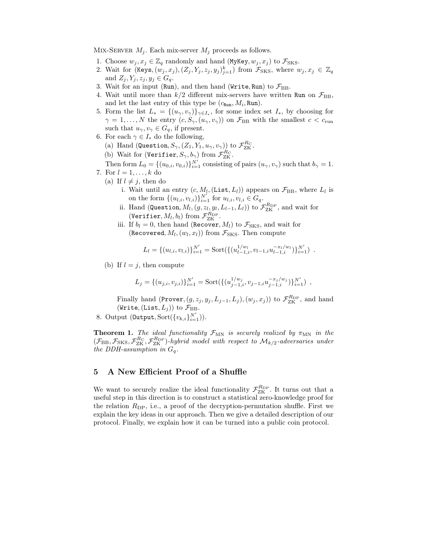MIX-SERVER  $M_i$ . Each mix-server  $M_i$  proceeds as follows.

- 1. Choose  $w_j, x_j \in \mathbb{Z}_q$  randomly and hand (MyKey,  $w_j, x_j$ ) to  $\mathcal{F}_{SKS}$ .
- 2. Wait for  $(\text{Keys}, (w_j, x_j), (Z_j, Y_j, z_j, y_j)_{j=1}^k)$  from  $\mathcal{F}_{SKS}$ , where  $w_j, x_j \in \mathbb{Z}_q$ and  $Z_j, Y_j, z_j, y_j \in G_q$ .
- 3. Wait for an input (Run), and then hand (Write, Run) to  $\mathcal{F}_{\text{BB}}$ .
- 4. Wait until more than  $k/2$  different mix-servers have written Run on  $\mathcal{F}_{\text{BB}}$ , and let the last entry of this type be  $(c_{\text{Run}}, M_i, \text{Run})$ .
- 5. Form the list  $L_* = \{(u_\gamma, v_\gamma)\}_{\gamma \in I_*}$ , for some index set  $I_*$ , by choosing for  $\gamma = 1, \ldots, N$  the entry  $(c, S_{\gamma}, (u_{\gamma}, v_{\gamma}))$  on  $\mathcal{F}_{BB}$  with the smallest  $c < c_{\text{run}}$ such that  $u_{\gamma}, v_{\gamma} \in G_q$ , if present.
- 6. For each  $\gamma \in I_*$  do the following,
	- (a) Hand (Question,  $S_{\gamma}$ ,  $(Z_1, Y_1, u_{\gamma}, v_{\gamma})$ ) to  $\mathcal{F}_{\text{ZK}}^{\text{R}_{\text{C}}}$ .<br>(b) Weit for (Meritian  $S_{\gamma}$ , b) from  $\mathcal{F}_{\text{RC}}^{\text{R}_{\text{C}}}$ .
	- (b) Wait for (Verifier,  $S_{\gamma}, b_{\gamma}$ ) from  $\mathcal{F}_{\text{ZK}}^{\text{R}_{\text{C}}}$ .<br>Then fame  $I_{\text{C}}$  ((c)  $\sum_{N} N'_{\text{C}}$  consisting

Then form  $L_0 = \{(u_{0,i}, v_{0,i})\}_{i=1}^{N'}$  consisting of pairs  $(u_\gamma, v_\gamma)$  such that  $b_\gamma = 1$ .<br>For  $l = 1$ ,  $k$  do 7. For  $l = 1, \ldots, k$  do

- (a) If  $l \neq j$ , then do
	- i. Wait until an entry  $(c, M_l, (List, L_l))$  appears on  $\mathcal{F}_{BB}$ , where  $L_l$  is on the form  $\{(u_{l,i}, v_{l,i})\}_{i=1}^{N'}$  $\sum_{i=1}^{N'}$  for  $u_{l,i}, v_{l,i} \in G_q$ .
	- ii. Hand (Question,  $M_l$ ,  $(g, z_l, y_l, L_{l-1}, L_l)$ ) to  $\mathcal{F}_{ZK}^{R_{\text{DP}}}$ , and wait for<br>
	(Verifier,  $M_l$ ,  $b_l$ ) from  $\mathcal{F}_{ZK}^{R_{\text{DP}}}$ .<br>
	ii If  $h_l = 0$ , then hand (Becover  $M_l$ ) to  $\mathcal{F}_{ZK}$  and wait for
	- iii. If  $b_l = 0$ , then hand (Recover,  $M_l$ ) to  $\mathcal{F}_{SKS}$ , and wait for (Recovered,  $M_l$ ,  $(w_l, x_l)$ ) from  $\mathcal{F}_{SKS}$ . Then compute

$$
L_l = \{ (u_{l,i}, v_{l,i}) \}_{i=1}^{N'} = \text{Sort}(\{ (u_{l-1,i}^{1/w_l}, v_{l-1,i} u_{l-1,i}^{-x_l/w_l}) \}_{i=1}^{N'} )
$$

(b) If  $l = j$ , then compute

$$
L_j = \{(u_{j,i}, v_{j,i})\}_{i=1}^{N'} = \text{Sort}(\{(u_{j-1,i}^{1/w_j}, v_{j-1,i}u_{j-1,i}^{-x_j/w_j})\}_{i=1}^{N'}) ,
$$

Finally hand (Prover,  $(g, z_j, y_j, L_{j-1}, L_j)$ ,  $(w_j, x_j)$ ) to  $\mathcal{F}_{\text{ZK}}^{\text{R}_{\text{DP}}}$ , and hand  $(W \text{rit } L)$ ) to  $\mathcal{F}_{\text{DP}}$ (Write,  $(List, L_j)$ ) to  $\mathcal{F}_{BB}$ .

8. Output  $(\text{Output}, \text{Sort}(\{v_{k,i}\}_{i=1}^{N'})).$ 

**Theorem 1.** *The ideal functionality*  $\mathcal{F}_{MN}$  *is securely realized by*  $\pi_{MN}$  *in the*  $(\mathcal{F}_{BB}, \mathcal{F}_{SKS}, \mathcal{F}_{CK}^{R_{CP}}, \mathcal{F}_{SKP}^{R_{DP}})$ -hybrid model with respect to  $\mathcal{M}_{k/2}$ -adversaries under<br>the DDH-assumption in C *the DDH-assumption in*  $G_q$ .

## 5 A New Efficient Proof of a Shuffle

We want to securely realize the ideal functionality  $\mathcal{F}_{\text{ZK}}^{R_{\text{DP}}}$ . It turns out that a useful step in this direction is to construct a statistical zero-knowledge proof for useful step in this direction is to construct a statistical zero-knowledge proof for the relation  $R_{\text{DP}}$ , i.e., a proof of the decryption-permutation shuffle. First we explain the key ideas in our approach. Then we give a detailed description of our protocol. Finally, we explain how it can be turned into a public coin protocol.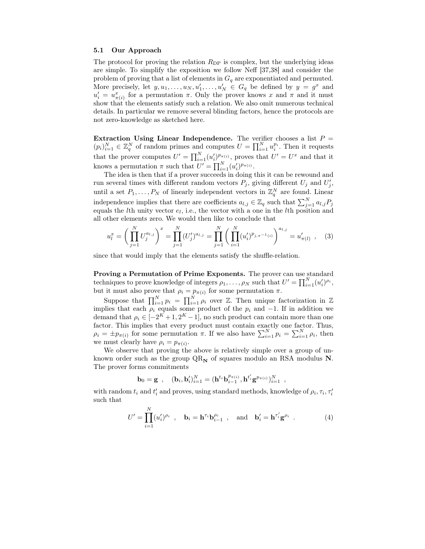#### 5.1 Our Approach

The protocol for proving the relation  $R_{\text{DP}}$  is complex, but the underlying ideas are simple. To simplify the exposition we follow Neff [37,38] and consider the problem of proving that a list of elements in  $G_q$  are exponentiated and permuted. More precisely, let  $y, u_1, \ldots, u_N, u'_1, \ldots, u'_N \in G_q$  be defined by  $y = g^x$  and  $u' = u^x$  for a pormutation  $\pi$ . Only the prover knows  $x$  and  $\pi$  and it must  $u'_i = u^x_{\pi(i)}$  for a permutation  $\pi$ . Only the prover knows x and  $\pi$  and it must<br>show that the elements satisfy such a relation. We also omit numerous technical show that the elements satisfy such a relation. We also omit numerous technical details. In particular we remove several blinding factors, hence the protocols are not zero-knowledge as sketched here.

Extraction Using Linear Independence. The verifier chooses a list  $P =$  $(p_i)_{i=1}^N \in \mathbb{Z}_q^N$  of random primes and computes  $U = \prod_{i=1}^N u_i^{p_i}$ . Then it requests that the prover computes  $U' = \prod_{i=1}^{N} (u'_i)^{p_{\pi(i)}},$  proves that  $U' = U^x$  and that it<br>linearly a normalization  $\pi$  such that  $U'$ knows a permutation  $\pi$  such that  $U' = \prod_{i=1}^{N} (u'_i)^{p_{\pi(i)}}$ .<br>The idea is then that if a prover succeeds in doing to

The idea is then that if a prover succeeds in doing this it can be rewound and run several times with different random vectors  $P_j$ , giving different  $U_j$  and  $U'_j$ , until a set  $P_1, \ldots, P_N$  of linearly independent vectors in  $\mathbb{Z}_q^N$  are found. Linear independence implies that there are coefficients  $a_{l,j} \in \mathbb{Z}_q$  such that  $\sum_{j=1}^{N} a_{l,j} P_j$  equals the *l*<sup>th</sup> unity vector  $e_i$ , i.e., the vector with a one in the *l*<sup>th</sup> position and equals the *l*th unity vector  $e_l$ , i.e., the vector with a one in the *l*th position and all other elements zero. We would then like to conclude that

$$
u_l^x = \left(\prod_{j=1}^N U_j^{a_{l,j}}\right)^x = \prod_{j=1}^N (U'_j)^{a_{l,j}} = \prod_{j=1}^N \left(\prod_{i=1}^N (u'_i)^{p_{j,\pi^{-1}(i)}}\right)^{a_{l,j}} = u'_{\pi(l)},\tag{3}
$$

since that would imply that the elements satisfy the shuffle-relation.

Proving a Permutation of Prime Exponents. The prover can use standard techniques to prove knowledge of integers  $\rho_1, \ldots, \rho_N$  such that  $U' = \prod_{i=1}^N (u'_i)^{\rho_i}$ , but it must also prove that  $\rho_i = p_{\pi(i)}$  for some permutation  $\pi$ .

Suppose that  $\prod_{i=1}^{N} p_i = \prod_{i=1}^{N} \rho_i$  over Z. Then unique factorization in Z<br>blies that each convenient product of the number of  $\Gamma$  in addition we implies that each  $\rho_i$  equals some product of the  $p_i$  and  $-1$ . If in addition we demand that  $\rho_i \in [-2^K + 1, 2^K - 1]$ , no such product can contain more than one factor. This implies that every product must contain exactly one factor. Thus,  $\rho_i = \pm p_{\pi(i)}$  for some permutation  $\pi$ . If we also have  $\sum_{i=1}^{N} p_i = \sum_{i=1}^{N} \rho_i$ , then we must clearly have  $\rho_i = p_{\pi(i)}$ .

We observe that proving the above is relatively simple over a group of unknown order such as the group  $QR_N$  of squares modulo an RSA modulus **N**. The prover forms commitments

$$
\mathbf{b}_0 = \mathbf{g} \;\; , \quad (\mathbf{b}_i, \mathbf{b}_i')_{i=1}^N = (\mathbf{h}^{t_i} \mathbf{b}_{i-1}^{p_{\pi(i)}}, \mathbf{h}^{t_i'} \mathbf{g}^{p_{\pi(i)}})_{i=1}^N \;\; ,
$$

with random  $t_i$  and  $t'_i$  and proves, using standard methods, knowledge of  $\rho_i$ ,  $\tau_i$ ,  $\tau'_i$ such that

$$
U' = \prod_{i=1}^{N} (u'_i)^{\rho_i} , \quad \mathbf{b}_i = \mathbf{h}^{\tau_i} \mathbf{b}_{i-1}^{\rho_i} , \quad \text{and} \quad \mathbf{b}'_i = \mathbf{h}^{\tau'_i} \mathbf{g}^{\rho_i} .
$$
 (4)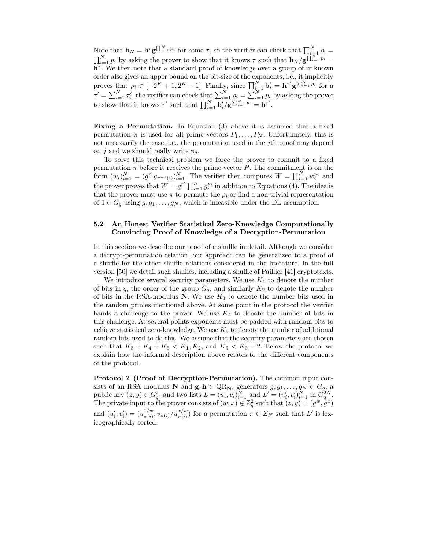Note that  $\mathbf{b}_N = \mathbf{h}^\tau \mathbf{g}^{\prod_{i=1}^N \rho_i}$  for some  $\tau$ , so the verifier can check that  $\prod_{i=1}^N$ Note that  $\mathbf{b}_N = \mathbf{h}^\tau \mathbf{g}^{\prod_{i=1}^N \rho_i}$  for some  $\tau$ , so the verifier can check that  $\prod_{i=1}^N \rho_i = \prod_{i=1}^N p_i$  by asking the prover to show that it knows  $\tau$  such that  $\mathbf{b}_N / \mathbf{g}^{\prod_{i=1}^N p_i} = \mathbf{h}^\tau$ . W  $\mathbf{h}^{\tau}$ . We then note that a standard proof of knowledge over a group of unknown order also gives an upper bound on the bit-size of the exponents, i.e., it implicitly proves that  $\rho_i \in [-2^K + 1, 2^K - 1]$ . Finally, since  $\prod_{i=1}^N \mathbf{b}'_i = \mathbf{h}^{\tau'} \mathbf{g}$  $\sum_{i=1}^{N} \rho_i$  for a  $\tau' = \sum_{i=1}^{N} \tau'_i$ , the verifier can check that  $\sum_{i=1}^{N} \rho_i = \sum_{i=1}^{N} p_i$  by asking the prover to show that it knows  $\tau'$  such that  $\prod_{i=1}^{N} \mathbf{b}'_i / \mathbf{g}^{\sum_{i=1}^{N} p_i} = \mathbf{h}^{\tau'}$ .

Fixing a Permutation. In Equation (3) above it is assumed that a fixed permutation  $\pi$  is used for all prime vectors  $P_1, \ldots, P_N$ . Unfortunately, this is not necessarily the case, i.e., the permutation used in the jth proof may depend on j and we should really write  $\pi_i$ .

To solve this technical problem we force the prover to commit to a fixed permutation  $\pi$  before it receives the prime vector P. The commitment is on the form  $(w_i)_{i=1}^N = (g^{r_i'}g_{\pi^{-1}(i)})_{i=1}^N$ . The verifier then computes  $W = \prod_{i=1}^N w_i^{p_i}$  and the prover proves that  $W = g^{r'} \prod_{i=1}^{N} g_i^{\rho_i}$  in addition to Equations (4). The idea is<br>that the prover must use  $\pi$  to permute the quorified a pop-trivial representation that the prover must use  $\pi$  to permute the  $\rho_i$  or find a non-trivial representation of  $1 \in G_q$  using  $g, g_1, \ldots, g_N$ , which is infeasible under the DL-assumption.

## 5.2 An Honest Verifier Statistical Zero-Knowledge Computationally Convincing Proof of Knowledge of a Decryption-Permutation

In this section we describe our proof of a shuffle in detail. Although we consider a decrypt-permutation relation, our approach can be generalized to a proof of a shuffle for the other shuffle relations considered in the literature. In the full version [50] we detail such shuffles, including a shuffle of Paillier [41] cryptotexts.

We introduce several security parameters. We use  $K_1$  to denote the number of bits in q, the order of the group  $G_q$ , and similarly  $K_2$  to denote the number of bits in the RSA-modulus **N**. We use  $K_3$  to denote the number bits used in the random primes mentioned above. At some point in the protocol the verifier hands a challenge to the prover. We use  $K_4$  to denote the number of bits in this challenge. At several points exponents must be padded with random bits to achieve statistical zero-knowledge. We use  $K_5$  to denote the number of additional random bits used to do this. We assume that the security parameters are chosen such that  $K_3 + K_4 + K_5 < K_1, K_2$ , and  $K_5 < K_3 - 2$ . Below the protocol we explain how the informal description above relates to the different components of the protocol.

Protocol 2 (Proof of Decryption-Permutation). The common input consists of an RSA modulus **N** and **g**,  $h \in QR_N$ , generators  $g, g_1, \ldots, g_N \in G_q$ , a<br>public key  $(z, y) \in G_q^2$ , and two lists  $L = (u_i, v_i)_{i=1}^N$  and  $L' = (u'_i, v'_i)_{i=1}^N$  in  $G_q^{2N}$ .<br>The private input to the prover consists of The private input to the prover consists of  $(w, x) \in \mathbb{Z}_q^2$  such that  $(z, y) = (g^w, g^x)$ and  $(u'_i, v'_i) = (u^{1/w}_{\pi(i)}, v_{\pi(i)}/u^{x/w}_{\pi(i)})$  for a permutation  $\pi \in \Sigma_N$  such that L' is lex-<br>icographically sorted icographically sorted.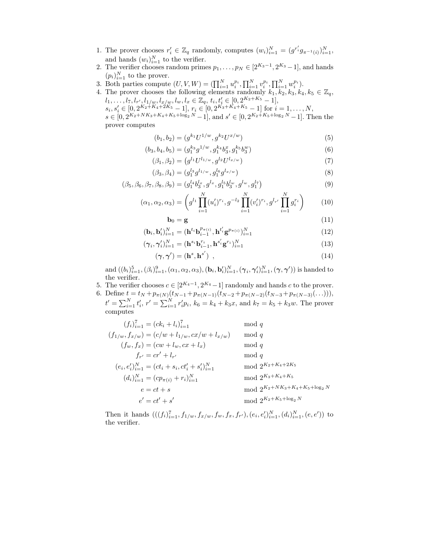- 1. The prover chooses  $r'_i \in \mathbb{Z}_q$  randomly, computes  $(w_i)_{i=1}^N = (g^{r'_i} g_{\pi^{-1}(i)})_{i=1}^N$ , and hands  $(w_i)_i^N$  to the results and hands  $(w_i)_{i=1}^N$  to the verifier.<br>The verifier chooses random prime
- 2. The verifier chooses random primes  $p_1, \ldots, p_N \in [2^{K_3-1}, 2^{K_3}-1]$ , and hands  $(p_i)_{i=1}^N$  to the prover.<br>Both parties compute
- 3. Both parties compute  $(U, V, W) = (\prod_{i=1}^N u_i^{p_i}, \prod_{i=1}^N v_i^{p_i}, \prod_{i=1}^N w_i^{p_i})$ .<br>4. The prover chooses the following elements randomly  $k_1, k_2, k_3, k_4$ .
- 4. The prover chooses the following elements randomly  $k_1, k_2, k_3, k_4, k_5 \in \mathbb{Z}_q$ ,  $l_1, \ldots, l_7, l_{r'}, l_{1/w}, l_{x/w}, l_w, l_x \in \mathbb{Z}_q, t_i, t'_i \in [0, 2^{K_2 + K_5} - 1],$ <br>  $l_1 \in [0, 2^{K_2 + K_4 + K_5}, 1]$

 $s_i, s'_i \in [0, 2^{K_2+K_4+2K_5}-1], r_i \in [0, 2^{K_3+K_4+K_5}-1]$  for  $i=1,\ldots,N,$ 

 $s \in [0, 2^{K_2 + NK_3 + K_4 + K_5 + \log_2 N} - 1]$ , and  $s' \in [0, 2^{K_2 + K_5 + \log_2 N} - 1]$ . Then the prover computes

$$
(b_1, b_2) = (g^{k_1} U^{1/w}, g^{k_2} U^{x/w})
$$
\n<sup>(5)</sup>

$$
(b_3, b_4, b_5) = (g_1^{k_3} g^{1/w}, g_1^{k_4} b_3^x, g_1^{k_5} b_3^w)
$$
\n
$$
(6)
$$

$$
(\beta_1, \beta_2) = (g^{l_1} U^{l_{1/w}}, g^{l_2} U^{l_{x/w}})
$$
\n(7)

$$
(\beta_3, \beta_4) = (g_1^{l_3} g^{l_{1/w}}, g_1^{l_6} g^{l_{x/w}})
$$
\n(8)

$$
(\beta_5, \beta_6, \beta_7, \beta_8, \beta_9) = (g_1^{l_4} b_3^{l_x}, g^{l_x}, g_1^{l_5} b_3^{l_w}, g^{l_w}, g_1^{l_7})
$$
\n(9)

$$
(\alpha_1, \alpha_2, \alpha_3) = \left( g^{l_1} \prod_{i=1}^N (u'_i)^{r_i}, g^{-l_2} \prod_{i=1}^N (v'_i)^{r_i}, g^{l_{r'}} \prod_{i=1}^N g_i^{r_i} \right) \tag{10}
$$

$$
\mathbf{b}_0 = \mathbf{g} \tag{11}
$$

$$
(\mathbf{b}_{i}, \mathbf{b}'_{i})_{i=1}^{N} = (\mathbf{h}^{t_{i}} \mathbf{b}_{i-1}^{p_{\pi(i)}}, \mathbf{h}^{t'}_{i} \mathbf{g}^{p_{\pi(i)}})_{i=1}^{N}
$$
(12)

$$
(\boldsymbol{\gamma}_i, \boldsymbol{\gamma}_i')_{i=1}^N = (\mathbf{h}^{s_i} \mathbf{b}_{i-1}^{r_i}, \mathbf{h}^{s_i'} \mathbf{g}^{r_i})_{i=1}^N
$$
\n(13)

$$
(\gamma, \gamma') = (\mathbf{h}^s, \mathbf{h}^{s'}) \tag{14}
$$

and  $((b_i)_{i=1}^5, (\beta_i)_{i=1}^9, (\alpha_1, \alpha_2, \alpha_3), (\mathbf{b}_i, \mathbf{b}_i')_{i=1}^N, (\gamma_i, \gamma_i')_{i=1}^N, (\gamma, \gamma'))$  is handed to the verifier the verifier.

- 5. The verifier chooses  $c \in [2^{K_4-1}, 2^{K_4}-1]$  randomly and hands c to the prover.
- 6. Define  $t = t_N + p_{\pi(N)}(t_{N-1} + p_{\pi(N-1)}(t_{N-2} + p_{\pi(N-2)}(t_{N-3} + p_{\pi(N-3)}(\ldots))),$ <br>  $t' = \sum_{i=1}^N t'_i, r' = \sum_{i=1}^N r'_i p_i, k_6 = k_4 + k_3x, \text{ and } k_7 = k_5 + k_3w.$  The prover computes

$$
(f_i)_{i=1}^7 = (ck_i + l_i)_{i=1}^7 \mod q
$$
  
\n
$$
(f_{1/w}, f_{x/w}) = (c/w + l_{1/w}, cx/w + l_{x/w}) \mod q
$$
  
\n
$$
(f_w, f_x) = (cw + l_w, cx + l_x) \mod q
$$
  
\n
$$
f_{r'} = cr' + l_{r'}
$$
 mod q  
\n
$$
(e_i, e'_i)_{i=1}^{N} = (ct_i + s_i, ct'_i + s'_i)_{i=1}^{N}
$$
 mod  $2^{K_2 + K_4 + 2K_5}$   
\n
$$
(d_i)_{i=1}^{N} = (cp_{\pi(i)} + r_i)_{i=1}^{N}
$$
 mod  $2^{K_2 + K_4 + K_5}$   
\n
$$
e = ct + s \mod 2^{K_2 + N K_3 + K_4 + K_5 + \log_2 N}
$$
  
\n
$$
e' = ct' + s' \mod 2^{K_2 + K_5 + \log_2 N}
$$

Then it hands  $(((f_i)_{i=1}^7, f_{1/w}, f_{x/w}, f_w, f_x, f_{r'}), (e_i, e'_i)_{i=1}^N, (d_i)_{i=1}^N, (e, e'))$  to<br>the verifier the verifier.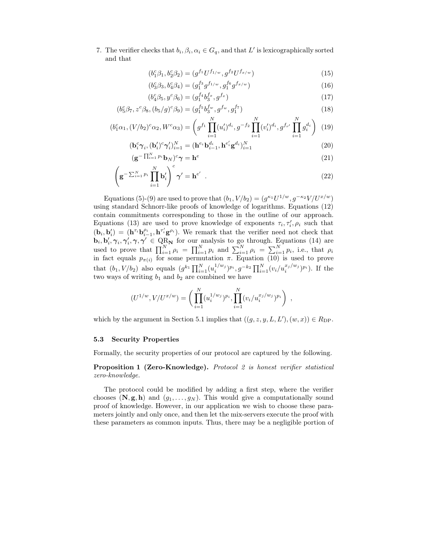7. The verifier checks that  $b_i, \beta_i, \alpha_i \in G_q$ , and that L' is lexicographically sorted and that

$$
(b_1^c \beta_1, b_2^c \beta_2) = (g^{f_1} U^{f_{1/w}}, g^{f_2} U^{f_{x/w}})
$$
\n(15)

$$
(b_3^c \beta_3, b_4^c \beta_4) = (g_1^{f_3} g^{f_{1/w}}, g_1^{f_6} g^{f_{x/w}})
$$
\n(16)

$$
(b_4^c \beta_5, y^c \beta_6) = (g_1^{f_4} b_3^{f_x}, g^{f_x})
$$
\n(17)

$$
(b_5^c \beta_7, z^c \beta_8, (b_5/g)^c \beta_9) = (g_1^{f_5} b_3^{f_w}, g^{f_w}, g_1^{f_7})
$$
\n(18)

$$
(b_1^c \alpha_1, (V/b_2)^c \alpha_2, W^c \alpha_3) = \left( g^{f_1} \prod_{i=1}^N (u'_i)^{d_i}, g^{-f_2} \prod_{i=1}^N (v'_i)^{d_i}, g^{f_{r'}} \prod_{i=1}^N g_i^{d_i} \right) (19)
$$

$$
(\mathbf{b}_i^c \boldsymbol{\gamma}_i, (\mathbf{b}_i')^c \boldsymbol{\gamma}_i')_{i=1}^N = (\mathbf{h}^{e_i} \mathbf{b}_{i-1}^{d_i}, \mathbf{h}^{e_i'} \mathbf{g}^{d_i})_{i=1}^N
$$
\n(20)

$$
(\mathbf{g}^{-\prod_{i=1}^{N} p_i} \mathbf{b}_N)^c \boldsymbol{\gamma} = \mathbf{h}^e
$$
\n(21)

$$
\left(\mathbf{g}^{-\sum_{i=1}^{N} p_i} \prod_{i=1}^{N} \mathbf{b}'_i\right)^c \boldsymbol{\gamma}' = \mathbf{h}^{e'} \quad . \tag{22}
$$

Equations (5)-(9) are used to prove that  $(b_1, V/b_2)=(g^{\kappa_1}U^{1/w}, g^{-\kappa_2}V/U^{x/w})$ using standard Schnorr-like proofs of knowledge of logarithms. Equations (12) contain commitments corresponding to those in the outline of our approach. Equations (13) are used to prove knowledge of exponents  $\tau_i, \tau_i', \rho_i$  such that  $(\mathbf{b}_i, \mathbf{b}_i') = (\mathbf{h}^{\tau_i} \mathbf{b}_i^{\rho_i}, \mathbf{h}^{\tau_i'} \mathbf{g}^{\rho_i}).$  We remark that the verifier need not check that  $\mathbf{b}_i, \mathbf{b}'_i \approx \mathcal{N} \approx \mathcal{N} \approx \mathcal{N} \approx \mathcal{N} \approx \mathcal{N} \approx \mathcal{N} \approx \mathcal{N} \approx \mathcal{N} \approx \mathcal{N} \approx \mathcal{N} \approx \mathcal{N} \approx \$  $\mathbf{b}_i, \mathbf{b}'_i, \gamma_i, \gamma'_i, \gamma, \gamma' \in \text{QR}_N$  for our analysis to go through. Equations (14) are<br>used to prove that  $\mathbf{\Pi}^N$  are  $\mathbf{\Pi}^N$  are and  $\mathbf{\Sigma}^N$  are  $\mathbf{\Sigma}^N$  and  $\mathbf{\Sigma}^N$  are  $\mathbf{\Sigma}^N$  and  $\mathbf{\Sigma}^N$  are used to prove that  $\prod_{i=1}^{N} \rho_i = \prod_{i=1}^{N} p_i$  and  $\sum_{i=1}^{N} \rho_i = \sum_{i=1}^{N} p_i$ , i.e., that  $\rho_i$  in fact equals n  $\omega$  for some permutation  $\pi$  Equation (10) is used to prove in fact equals  $p_{\pi(i)}$  for some permutation  $\pi$ . Equation (10) is used to prove that  $(b_1, V/b_2)$  also equals  $(g^{k_1} \prod_{i=1}^N (u_i^{1/w_j})^{p_i}, g^{-k_2} \prod_{i=1}^N (v_i/u_i^{x_j/w_j})^{p_i}$ . If the two ways of writing  $b_1$  and  $b_2$  are combined we have

$$
(U^{1/w}, V/U^{x/w}) = \left(\prod_{i=1}^N (u_i^{1/w_j})^{p_i}, \prod_{i=1}^N (v_i/u_i^{x_j/w_j})^{p_i}\right) ,
$$

which by the argument in Section 5.1 implies that  $((g, z, y, L, L'), (w, x)) \in R_{\text{DP}}$ .

#### 5.3 Security Properties

Formally, the security properties of our protocol are captured by the following.

Proposition 1 (Zero-Knowledge). *Protocol 2 is honest verifier statistical zero-knowledge.*

The protocol could be modified by adding a first step, where the verifier chooses  $(N, g, h)$  and  $(g_1, \ldots, g_N)$ . This would give a computationally sound proof of knowledge. However, in our application we wish to choose these parameters jointly and only once, and then let the mix-servers execute the proof with these parameters as common inputs. Thus, there may be a negligible portion of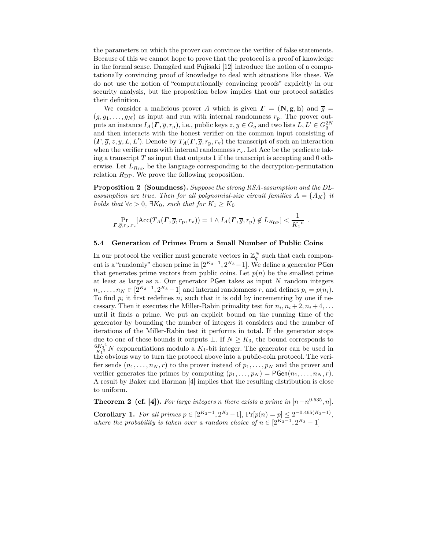the parameters on which the prover can convince the verifier of false statements. Because of this we cannot hope to prove that the protocol is a proof of knowledge in the formal sense. Damgård and Fujisaki [12] introduce the notion of a computationally convincing proof of knowledge to deal with situations like these. We do not use the notion of "computationally convincing proofs" explicitly in our security analysis, but the proposition below implies that our protocol satisfies their definition.

We consider a malicious prover A which is given  $\mathbf{\Gamma} = (\mathbf{N}, \mathbf{g}, \mathbf{h})$  and  $\overline{g} =$  $(g, g_1, \ldots, g_N)$  as input and run with internal randomness  $r_p$ . The prover outputs an instance  $I_A(\Gamma, \overline{g}, r_p)$ , i.e., public keys  $z, y \in G_q$  and two lists  $L, L' \in G_q^{2N}$ and then interacts with the honest verifier on the common input consisting of  $(\Gamma, \overline{g}, z, y, L, L')$ . Denote by  $T_A(\Gamma, \overline{g}, r_p, r_v)$  the transcript of such an interaction<br>when the use for weak with internal parlaments and do be the products taken when the verifier runs with internal randomness  $r<sub>v</sub>$ . Let Acc be the predicate taking a transcript  $T$  as input that outputs 1 if the transcript is accepting and 0 otherwise. Let  $L_{R_{\text{DP}}}$  be the language corresponding to the decryption-permutation relation  $R_{\text{DP}}$ . We prove the following proposition.

Proposition 2 (Soundness). *Suppose the strong RSA-assumption and the DL*assumption are true. Then for all polynomial-size circuit families  $A = \{A_K\}$  it *holds that*  $\forall c > 0$ ,  $\exists K_0$ *, such that for*  $K_1 \geq K_0$ 

$$
\Pr_{\mathbf{T},\overline{g},r_{\rm p},r_{\rm v}}[\text{Acc}(T_A(\mathbf{\Gamma},\overline{g},r_{\rm p},r_{\rm v}))=1 \wedge I_A(\mathbf{\Gamma},\overline{g},r_{\rm p}) \not\in L_{R_{\rm DP}}] < \frac{1}{K_1^c}.
$$

#### 5.4 Generation of Primes From a Small Number of Public Coins

In our protocol the verifier must generate vectors in  $\mathbb{Z}_q^N$  such that each component is a "randomly" chosen prime in  $[2^{K_3-1}, 2^{K_3}-1]$ . We define a generator PGen that generates prime vectors from public coins. Let  $p(n)$  be the smallest prime at least as large as  $n$ . Our generator **PGen** takes as input  $N$  random integers  $n_1,\ldots,n_N \in [2^{K_3-1},2^{K_3}-1]$  and internal randomness r, and defines  $p_i = p(n_i)$ . To find  $p_i$  it first redefines  $n_i$  such that it is odd by incrementing by one if necessary. Then it executes the Miller-Rabin primality test for  $n_i, n_i + 2, n_i + 4, \ldots$ until it finds a prime. We put an explicit bound on the running time of the generator by bounding the number of integers it considers and the number of iterations of the Miller-Rabin test it performs in total. If the generator stops due to one of these bounds it outputs  $\bot$ . If  $N \geq K_3$ , the bound corresponds to  $\frac{6K_3^4}{K_1^3}$  N exponentiations modulo a  $K_1$ -bit integer. The generator can be used in the obvious way to turn the protocol above into a public-coin protocol. The verifier sends  $(n_1, \ldots, n_N, r)$  to the prover instead of  $p_1, \ldots, p_N$  and the prover and verifier generates the primes by computing  $(p_1, \ldots, p_N) = \mathsf{PGen}(n_1, \ldots, n_N, r)$ . A result by Baker and Harman [4] implies that the resulting distribution is close to uniform.

**Theorem 2 (cf. [4]).** *For large integers n there exists a prime in*  $[n-n^{0.535}, n]$ *.* Corollary 1. *For all primes*  $p \in [2^{K_3-1}, 2^{K_3}-1]$ ,  $Pr[p(n) = p] \le 2^{-0.465(K_3-1)}$ , *where the probability is taken over a random choice of*  $n \in [2^{K_3-1}, 2^{K_3}-1]$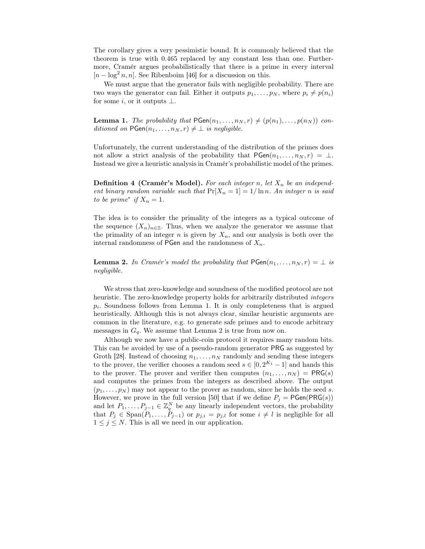The corollary gives a very pessimistic bound. It is commonly believed that the theorem is true with 0.465 replaced by any constant less than one. Furthermore, Cramér argues probabilistically that there is a prime in every interval  $[n - \log^2 n, n]$ . See Ribenboim [46] for a discussion on this.

We must argue that the generator fails with negligible probability. There are two ways the generator can fail. Either it outputs  $p_1, \ldots, p_N$ , where  $p_i \neq p(n_i)$ for some i, or it outputs  $\perp$ .

**Lemma 1.** The probability that  $PGen(n_1, \ldots, n_N, r) \neq (p(n_1), \ldots, p(n_N))$  con*ditioned on*  $PGen(n_1, \ldots, n_N, r) \neq \bot$  *is negligible.* 

Unfortunately, the current understanding of the distribution of the primes does not allow a strict analysis of the probability that  $PGen(n_1,...,n_N, r) = \perp$ . Instead we give a heuristic analysis in Cramér's probabilistic model of the primes.

**Definition 4 (Cramér's Model).** For each integer n, let  $X_n$  be an independ*ent binary random variable such that*  $Pr[X_n = 1] = 1/ \ln n$ . An *integer* n *is said to be prime<sup>\*</sup> if*  $X_n = 1$ *.* 

The idea is to consider the primality of the integers as a typical outcome of the sequence  $(X_n)_{n\in\mathbb{Z}}$ . Thus, when we analyze the generator we assume that the primality of an integer n is given by  $X_n$ , and our analysis is both over the internal randomness of PGen and the randomness of  $X_n$ .

**Lemma 2.** In Cramér's model the probability that  $PGen(n_1,...,n_N, r) = \perp$  is *negligible.*

We stress that zero-knowledge and soundness of the modified protocol are not heuristic. The zero-knowledge property holds for arbitrarily distributed *integers*  $p_i$ . Soundness follows from Lemma 1. It is only completeness that is argued heuristically. Although this is not always clear, similar heuristic arguments are common in the literature, e.g. to generate safe primes and to encode arbitrary messages in  $G_q$ . We assume that Lemma 2 is true from now on.

Although we now have a public-coin protocol it requires many random bits. This can be avoided by use of a pseudo-random generator PRG as suggested by Groth [28]. Instead of choosing  $n_1, \ldots, n_N$  randomly and sending these integers to the prover, the verifier chooses a random seed  $s \in [0, 2^{K_1} - 1]$  and hands this to the prover. The prover and verifier then computes  $(n_1,...,n_N) = PRG(s)$ and computes the primes from the integers as described above. The output  $(p_1,\ldots,p_N)$  may not appear to the prover as random, since he holds the seed s. However, we prove in the full version [50] that if we define  $P_i = PGen(PRG(s))$ and let  $P_1, \ldots, P_{j-1} \in \mathbb{Z}_q^N$  be any linearly independent vectors, the probability that  $P_j \in \text{Span}(P_1, \ldots, P_{j-1})$  or  $p_{j,i} = p_{j,l}$  for some  $i \neq l$  is negligible for all  $1 \leq i \leq N$ . This is all we need in our application  $1 \leq j \leq N$ . This is all we need in our application.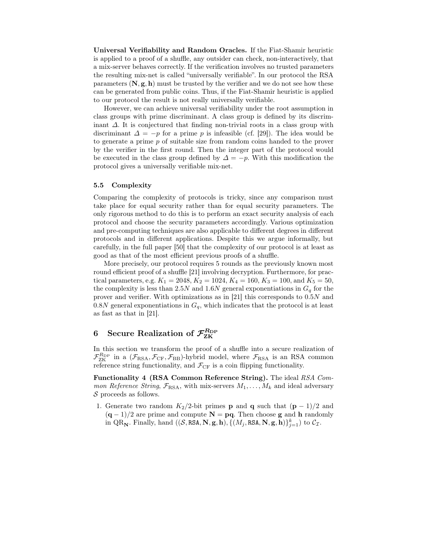Universal Verifiability and Random Oracles. If the Fiat-Shamir heuristic is applied to a proof of a shuffle, any outsider can check, non-interactively, that a mix-server behaves correctly. If the verification involves no trusted parameters the resulting mix-net is called "universally verifiable". In our protocol the RSA parameters  $(N, g, h)$  must be trusted by the verifier and we do not see how these can be generated from public coins. Thus, if the Fiat-Shamir heuristic is applied to our protocol the result is not really universally verifiable.

However, we can achieve universal verifiability under the root assumption in class groups with prime discriminant. A class group is defined by its discriminant ∆. It is conjectured that finding non-trivial roots in a class group with discriminant  $\Delta = -p$  for a prime p is infeasible (cf. [29]). The idea would be to generate a prime p of suitable size from random coins handed to the prover by the verifier in the first round. Then the integer part of the protocol would be executed in the class group defined by  $\Delta = -p$ . With this modification the protocol gives a universally verifiable mix-net.

#### 5.5 Complexity

Comparing the complexity of protocols is tricky, since any comparison must take place for equal security rather than for equal security parameters. The only rigorous method to do this is to perform an exact security analysis of each protocol and choose the security parameters accordingly. Various optimization and pre-computing techniques are also applicable to different degrees in different protocols and in different applications. Despite this we argue informally, but carefully, in the full paper [50] that the complexity of our protocol is at least as good as that of the most efficient previous proofs of a shuffle.

More precisely, our protocol requires 5 rounds as the previously known most round efficient proof of a shuffle [21] involving decryption. Furthermore, for practical parameters, e.g.  $K_1 = 2048, K_2 = 1024, K_4 = 160, K_3 = 100, \text{ and } K_5 = 50,$ the complexity is less than 2.5N and 1.6N general exponentiations in  $G_q$  for the prover and verifier. With optimizations as in [21] this corresponds to 0.5N and 0.8N general exponentiations in  $G_q$ , which indicates that the protocol is at least as fast as that in [21].

# $6$  Secure Realization of  $\mathcal{F}_{\mathrm{ZK}}^{R_{\mathrm{DP}}}$

In this section we transform the proof of a shuffle into a secure realization of  $\mathcal{F}_{\text{ZK}}^{R_{\text{DP}}}$  in a  $(\mathcal{F}_{\text{RSA}}, \mathcal{F}_{\text{CF}}, \mathcal{F}_{\text{BB}})$ -hybrid model, where  $\mathcal{F}_{\text{RSA}}$  is an RSA common<br>reference string functionality and  $\mathcal{F}_{\text{CP}}$  is a coin flinning functionality reference string functionality, and  $\mathcal{F}_{CF}$  is a coin flipping functionality.

Functionality 4 (RSA Common Reference String). The ideal *RSA Common Reference String*,  $\mathcal{F}_{\text{RSA}}$ , with mix-servers  $M_1, \ldots, M_k$  and ideal adversary  $S$  proceeds as follows.

1. Generate two random  $K_2/2$ -bit primes **p** and **q** such that  $(\mathbf{p} - 1)/2$  and  $(q-1)/2$  are prime and compute  $N = pq$ . Then choose **g** and **h** randomly in QR<sub>N</sub>. Finally, hand  $((\mathcal{S}, \text{RSA}, \mathbf{N}, \mathbf{g}, \mathbf{h}), \{(M_j, \text{RSA}, \mathbf{N}, \mathbf{g}, \mathbf{h})\}_{j=1}^k)$  to  $\mathcal{C}_{\mathcal{I}}$ .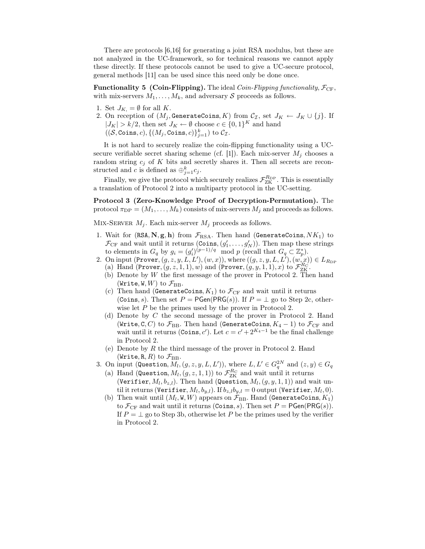There are protocols [6,16] for generating a joint RSA modulus, but these are not analyzed in the UC-framework, so for technical reasons we cannot apply these directly. If these protocols cannot be used to give a UC-secure protocol, general methods [11] can be used since this need only be done once.

**Functionality 5 (Coin-Flipping).** The ideal *Coin-Flipping functionality*,  $\mathcal{F}_{CF}$ , with mix-servers  $M_1, \ldots, M_k$ , and adversary S proceeds as follows.

- 1. Set  $J_K = \emptyset$  for all K.
- 2. On reception of  $(M_j, \text{GenerateCoins}, K)$  from  $\mathcal{C}_{\mathcal{I}}$ , set  $J_K \leftarrow J_K \cup \{j\}$ . If  $|J_K| > k/2$ , then set  $J_K \leftarrow \emptyset$  choose  $c \in \{0,1\}^K$  and hand  $((\mathcal{S}, \texttt{Coins}, c), \{(M_j, \texttt{Coins}, c)\}_{j=1}^k)$  to  $\mathcal{C}_{\mathcal{I}}$ .

It is not hard to securely realize the coin-flipping functionality using a UCsecure verifiable secret sharing scheme (cf. [1]). Each mix-server  $M_i$  chooses a random string  $c_i$  of K bits and secretly shares it. Then all secrets are reconstructed and c is defined as  $\bigoplus_{j=1}^{k} c_j$ .

Finally, we give the protocol which securely realizes  $\mathcal{F}_{\text{ZK}}^{R_{\text{DP}}}$ . This is essentially realized in the LIC-setting a translation of Protocol 2 into a multiparty protocol in the UC-setting.

Protocol 3 (Zero-Knowledge Proof of Decryption-Permutation). The protocol  $\pi_{\text{DP}} = (M_1, \ldots, M_k)$  consists of mix-servers  $M_j$  and proceeds as follows.

MIX-SERVER  $M_i$ . Each mix-server  $M_i$  proceeds as follows.

- 1. Wait for  $(RSA, N, g, h)$  from  $\mathcal{F}_{RSA}$ . Then hand (GenerateCoins,  $NK_1$ ) to  $\mathcal{F}_{CF}$  and wait until it returns  $(Coins, (g'_1, \ldots, g'_N))$ . Then map these strings<br>to elements in  $G$  by  $g = (g')^{(p-1)/q}$  mod n (recall that  $G \subset \mathbb{Z}^*$ ) to elements in  $G_q$  by  $g_i = (g'_i)^{(p-1)/q} \mod p$  (recall that  $G_q \subset \mathbb{Z}_p^*$ ).
- 2. On input  $($ Prover,  $(g, z, y, L, L'), (w, x)$ ), where  $((g, z, y, L, L'), (w, x)) \in L_{R_{\text{DP}}}$ (a) Hand (Prover,  $(g, z, 1, 1)$ , w) and (Prover,  $(g, y, 1, 1)$ , x) to  $\mathcal{F}_{BC}^{R_G}$ .<br>(b) Denote by W the first message of the prover in Protocol 2 The
	- (b) Denote by  $W$  the first message of the prover in Protocol 2. Then hand (Write, W,  $W$ ) to  $\mathcal{F}_{\rm BB}$ .
	- (c) Then hand (GenerateCoins,  $K_1$ ) to  $\mathcal{F}_{CF}$  and wait until it returns (Coins, s). Then set  $P = PGen(PRG(s))$ . If  $P = \perp$  go to Step 2c, otherwise let P be the primes used by the prover in Protocol 2.
	- (d) Denote by C the second message of the prover in Protocol 2. Hand (Write, C, C) to  $\mathcal{F}_{\text{BB}}$ . Then hand (GenerateCoins,  $K_4 - 1$ ) to  $\mathcal{F}_{\text{CF}}$  and wait until it returns (Coins, c'). Let  $c = c' + 2^{K_4-1}$  be the final challenge in Protocol 2.
	- (e) Denote by  $R$  the third message of the prover in Protocol 2. Hand (Write, R, R) to  $\mathcal{F}_{\text{BB}}$ .
- 3. On input (Question,  $M_l$ ,  $(g, z, y, L, L')$ ), where  $L, L' \in G_q^{2N}$  and  $(z, y) \in G_q$ 
	- (a) Hand (Question,  $M_l$ ,  $(g, z, 1, 1)$ ) to  $\mathcal{F}_{\text{ZK}}^{R_C}$  and wait until it returns (Verifier  $M_l$ ,  $h$ ). Then hand (Question  $M_l$ ,  $(g, y, 1, 1)$ ) and w (Verifier,  $M_l, b_{z,l}$ ). Then hand (Question,  $M_l$ ,  $(q, y, 1, 1)$ ) and wait until it returns (Verifier,  $M_l$ ,  $b_{y,l}$ ). If  $b_{z,l}b_{y,l} = 0$  output (Verifier,  $M_l$ , 0).
	- (b) Then wait until  $(M_l, W, W)$  appears on  $\mathcal{F}_{\rm BB}$ . Hand (GenerateCoins,  $K_1$ ) to  $\mathcal{F}_{CF}$  and wait until it returns (Coins, s). Then set  $P = PGen(PRG(s))$ . If  $P = \perp$  go to Step 3b, otherwise let P be the primes used by the verifier in Protocol 2.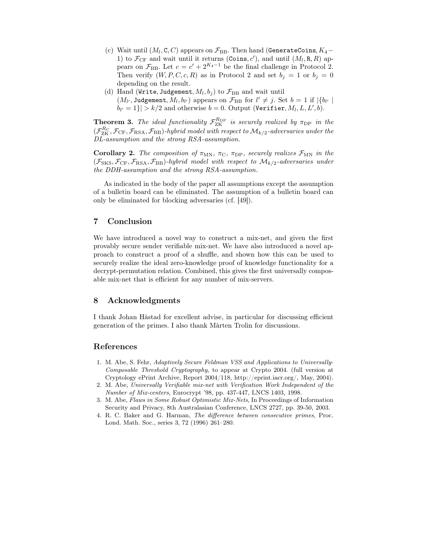- (c) Wait until  $(M_l, C, C)$  appears on  $\mathcal{F}_{BB}$ . Then hand (GenerateCoins,  $K_4$  1) to  $\mathcal{F}_{CF}$  and wait until it returns (Coins, c'), and until  $(M_l, R, R)$  approximately pears on  $\mathcal{F}_{\text{BB}}$ . Let  $c = c' + 2^{K_4-1}$  be the final challenge in Protocol 2. Then verify  $(W, P, C, c, R)$  as in Protocol 2 and set  $b_j = 1$  or  $b_j = 0$ depending on the result.
- (d) Hand (Write, Judgement,  $M_l, b_j$ ) to  $\mathcal{F}_{\text{BB}}$  and wait until  $(M_{l'}, \text{Judgement}, M_l, b_{l'})$  appears on  $\mathcal{F}_{BB}$  for  $l' \neq j$ . Set  $b = 1$  if  $|\{b_{l'}\mid l_{l'}\}$  $|b_{l'}=1\rangle|>k/2$  and otherwise  $b=0$ . Output (Verifier,  $M_l, L, L', b)$ .

**Theorem 3.** The ideal functionality  $\mathcal{F}_{\text{ZK}}^{\text{Rp}}$  is securely realized by  $\pi_{\text{DP}}$  in the  $(\mathcal{F}_{\text{ZK}}^{\text{R}}$ ,  $\mathcal{F}_{\text{C}}$ ,  $\mathcal{F}_{\text{RSA}}$ ,  $\mathcal{F}_{\text{BB}}$ )*-hybrid model with respect to*  $M_{k/2}$ *-adversaries u DL-assumption and the strong RSA-assumption.*

Corollary 2. *The composition of*  $\pi_{MN}$ ,  $\pi_{C}$ ,  $\pi_{DP}$ , securely realizes  $\mathcal{F}_{MN}$  in the  $(\mathcal{F}_{SKS}, \mathcal{F}_{CF}, \mathcal{F}_{RSA}, \mathcal{F}_{BB})$ *-hybrid model with respect to*  $\mathcal{M}_{k/2}$ *-adversaries under the DDH-assumption and the strong RSA-assumption.*

As indicated in the body of the paper all assumptions except the assumption of a bulletin board can be eliminated. The assumption of a bulletin board can only be eliminated for blocking adversaries (cf. [49]).

## 7 Conclusion

We have introduced a novel way to construct a mix-net, and given the first provably secure sender verifiable mix-net. We have also introduced a novel approach to construct a proof of a shuffle, and shown how this can be used to securely realize the ideal zero-knowledge proof of knowledge functionality for a decrypt-permutation relation. Combined, this gives the first universally composable mix-net that is efficient for any number of mix-servers.

## 8 Acknowledgments

I thank Johan Håstad for excellent advise, in particular for discussing efficient generation of the primes. I also thank Mårten Trolin for discussions.

#### References

- 1. M. Abe, S. Fehr, *Adaptively Secure Feldman VSS and Applications to Universally-Composable Threshold Cryptography*, to appear at Crypto 2004. (full version at Cryptology ePrint Archive, Report 2004/118, http://eprint.iacr.org/, May, 2004).
- 2. M. Abe, *Universally Verifiable mix-net with Verification Work Independent of the Number of Mix-centers*, Eurocrypt '98, pp. 437-447, LNCS 1403, 1998.
- 3. M. Abe, *Flaws in Some Robust Optimistic Mix-Nets*, In Proceedings of Information Security and Privacy, 8th Australasian Conference, LNCS 2727, pp. 39-50, 2003.
- 4. R. C. Baker and G. Harman, *The difference between consecutive primes*, Proc. Lond. Math. Soc., series 3, 72 (1996) 261–280.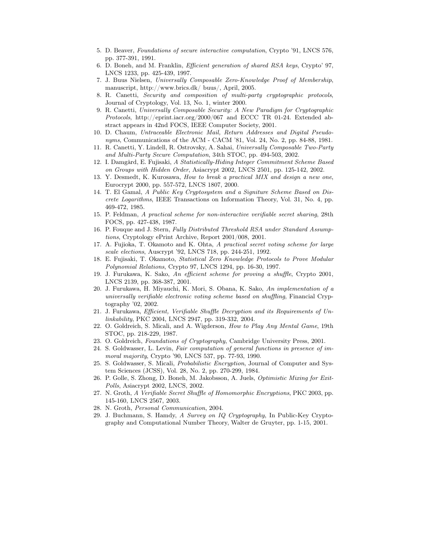- 5. D. Beaver, *Foundations of secure interactive computation*, Crypto '91, LNCS 576, pp. 377-391, 1991.
- 6. D. Boneh, and M. Franklin, *Efficient generation of shared RSA keys*, Crypto' 97, LNCS 1233, pp. 425-439, 1997.
- 7. J. Buus Nielsen, *Universally Composable Zero-Knowledge Proof of Membership*, manuscript, http://www.brics.dk/ buus/, April, 2005.
- 8. R. Canetti, *Security and composition of multi-party cryptographic protocols*, Journal of Cryptology, Vol. 13, No. 1, winter 2000.
- 9. R. Canetti, *Universally Composable Security: A New Paradigm for Cryptographic Protocols*, http://eprint.iacr.org/2000/067 and ECCC TR 01-24. Extended abstract appears in 42nd FOCS, IEEE Computer Society, 2001.
- 10. D. Chaum, *Untraceable Electronic Mail, Return Addresses and Digital Pseudonyms*, Communications of the ACM - CACM '81, Vol. 24, No. 2, pp. 84-88, 1981.
- 11. R. Canetti, Y. Lindell, R. Ostrovsky, A. Sahai, *Universally Composable Two-Party and Multi-Party Secure Computation*, 34th STOC, pp. 494-503, 2002.
- 12. I. Damgård, E. Fujisaki, *A Statistically-Hiding Integer Commitment Scheme Based on Groups with Hidden Order*, Asiacrypt 2002, LNCS 2501, pp. 125-142, 2002.
- 13. Y. Desmedt, K. Kurosawa, *How to break a practical MIX and design a new one*, Eurocrypt 2000, pp. 557-572, LNCS 1807, 2000.
- 14. T. El Gamal, *A Public Key Cryptosystem and a Signiture Scheme Based on Discrete Logarithms*, IEEE Transactions on Information Theory, Vol. 31, No. 4, pp. 469-472, 1985.
- 15. P. Feldman, *A practical scheme for non-interactive verifiable secret sharing*, 28th FOCS, pp. 427-438, 1987.
- 16. P. Fouque and J. Stern, *Fully Distributed Threshold RSA under Standard Assumptions*, Cryptology ePrint Archive, Report 2001/008, 2001.
- 17. A. Fujioka, T. Okamoto and K. Ohta, *A practical secret voting scheme for large scale elections*, Auscrypt '92, LNCS 718, pp. 244-251, 1992.
- 18. E. Fujisaki, T. Okamoto, *Statistical Zero Knowledge Protocols to Prove Modular Polynomial Relations*, Crypto 97, LNCS 1294, pp. 16-30, 1997.
- 19. J. Furukawa, K. Sako, *An efficient scheme for proving a shuffle*, Crypto 2001, LNCS 2139, pp. 368-387, 2001.
- 20. J. Furukawa, H. Miyauchi, K. Mori, S. Obana, K. Sako, *An implementation of a universally verifiable electronic voting scheme based on shuffling*, Financial Cryptography '02, 2002.
- 21. J. Furukawa, *Efficient, Verifiable Shuffle Decryption and its Requirements of Unlinkability*, PKC 2004, LNCS 2947, pp. 319-332, 2004.
- 22. O. Goldreich, S. Micali, and A. Wigderson, *How to Play Any Mental Game*, 19th STOC, pp. 218-229, 1987.
- 23. O. Goldreich, *Foundations of Cryptography*, Cambridge University Press, 2001.
- 24. S. Goldwasser, L. Levin, *Fair computation of general functions in presence of immoral majority*, Crypto '90, LNCS 537, pp. 77-93, 1990.
- 25. S. Goldwasser, S. Micali, *Probabilistic Encryption*, Journal of Computer and System Sciences (JCSS), Vol. 28, No. 2, pp. 270-299, 1984.
- 26. P. Golle, S. Zhong, D. Boneh, M. Jakobsson, A. Juels, *Optimistic Mixing for Exit-Polls*, Asiacrypt 2002, LNCS, 2002.
- 27. N. Groth, *A Verifiable Secret Shuffle of Homomorphic Encryptions*, PKC 2003, pp. 145-160, LNCS 2567, 2003.
- 28. N. Groth, *Personal Communication*, 2004.
- 29. J. Buchmann, S. Hamdy, *A Survey on IQ Cryptography*, In Public-Key Cryptography and Computational Number Theory, Walter de Gruyter, pp. 1-15, 2001.